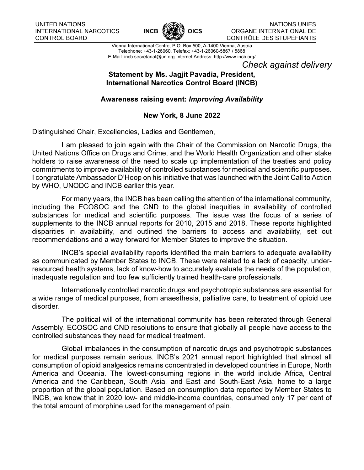

NATIONS UNIES ORGANE INTERNATIONAL DE CONTRÔLE DES STUPÉFIANTS

Vienna International Centre, P.O. Box 500, A-1400 Vienna, Austria Telephone: +43-1-26060, Telefax: +43-1-26060-5867 / 5868 E-Mail: incb.secretariat@un.org Internet Address: http://www.incb.org/

Check against delivery

## Statement by Ms. Jagjit Pavadia, President, International Narcotics Control Board (INCB)

## Awareness raising event: Improving Availability

## New York, 8 June 2022

Distinguished Chair, Excellencies, Ladies and Gentlemen,

I am pleased to join again with the Chair of the Commission on Narcotic Drugs, the United Nations Office on Drugs and Crime, and the World Health Organization and other stake holders to raise awareness of the need to scale up implementation of the treaties and policy commitments to improve availability of controlled substances for medical and scientific purposes. I congratulate Ambassador D'Hoop on his initiative that was launched with the Joint Call to Action by WHO, UNODC and INCB earlier this year.

For many years, the INCB has been calling the attention of the international community, including the ECOSOC and the CND to the global inequities in availability of controlled substances for medical and scientific purposes. The issue was the focus of a series of supplements to the INCB annual reports for 2010, 2015 and 2018. These reports highlighted disparities in availability, and outlined the barriers to access and availability, set out recommendations and a way forward for Member States to improve the situation.

INCB's special availability reports identified the main barriers to adequate availability as communicated by Member States to INCB. These were related to a lack of capacity, underresourced health systems, lack of know-how to accurately evaluate the needs of the population, inadequate regulation and too few sufficiently trained health-care professionals.

Internationally controlled narcotic drugs and psychotropic substances are essential for a wide range of medical purposes, from anaesthesia, palliative care, to treatment of opioid use disorder.

The political will of the international community has been reiterated through General Assembly, ECOSOC and CND resolutions to ensure that globally all people have access to the controlled substances they need for medical treatment.

Global imbalances in the consumption of narcotic drugs and psychotropic substances for medical purposes remain serious. INCB's 2021 annual report highlighted that almost all consumption of opioid analgesics remains concentrated in developed countries in Europe, North America and Oceania. The lowest-consuming regions in the world include Africa, Central America and the Caribbean, South Asia, and East and South-East Asia, home to a large proportion of the global population. Based on consumption data reported by Member States to INCB, we know that in 2020 low- and middle-income countries, consumed only 17 per cent of the total amount of morphine used for the management of pain.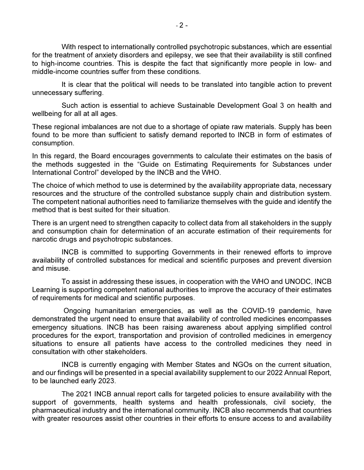With respect to internationally controlled psychotropic substances, which are essential for the treatment of anxiety disorders and epilepsy, we see that their availability is still confined to high-income countries. This is despite the fact that significantly more people in low- and middle-income countries suffer from these conditions.

It is clear that the political will needs to be translated into tangible action to prevent unnecessary suffering.

Such action is essential to achieve Sustainable Development Goal 3 on health and wellbeing for all at all ages.

These regional imbalances are not due to a shortage of opiate raw materials. Supply has been found to be more than sufficient to satisfy demand reported to INCB in form of estimates of consumption.

In this regard, the Board encourages governments to calculate their estimates on the basis of the methods suggested in the "Guide on Estimating Requirements for Substances under International Control" developed by the INCB and the WHO.

The choice of which method to use is determined by the availability appropriate data, necessary resources and the structure of the controlled substance supply chain and distribution system. The competent national authorities need to familiarize themselves with the guide and identify the method that is best suited for their situation.

There is an urgent need to strengthen capacity to collect data from all stakeholders in the supply and consumption chain for determination of an accurate estimation of their requirements for narcotic drugs and psychotropic substances.

INCB is committed to supporting Governments in their renewed efforts to improve availability of controlled substances for medical and scientific purposes and prevent diversion and misuse.

To assist in addressing these issues, in cooperation with the WHO and UNODC, INCB Learning is supporting competent national authorities to improve the accuracy of their estimates of requirements for medical and scientific purposes.

 Ongoing humanitarian emergencies, as well as the COVID-19 pandemic, have demonstrated the urgent need to ensure that availability of controlled medicines encompasses emergency situations. INCB has been raising awareness about applying simplified control procedures for the export, transportation and provision of controlled medicines in emergency situations to ensure all patients have access to the controlled medicines they need in consultation with other stakeholders.

INCB is currently engaging with Member States and NGOs on the current situation, and our findings will be presented in a special availability supplement to our 2022 Annual Report, to be launched early 2023.

The 2021 INCB annual report calls for targeted policies to ensure availability with the support of governments, health systems and health professionals, civil society, the pharmaceutical industry and the international community. INCB also recommends that countries with greater resources assist other countries in their efforts to ensure access to and availability